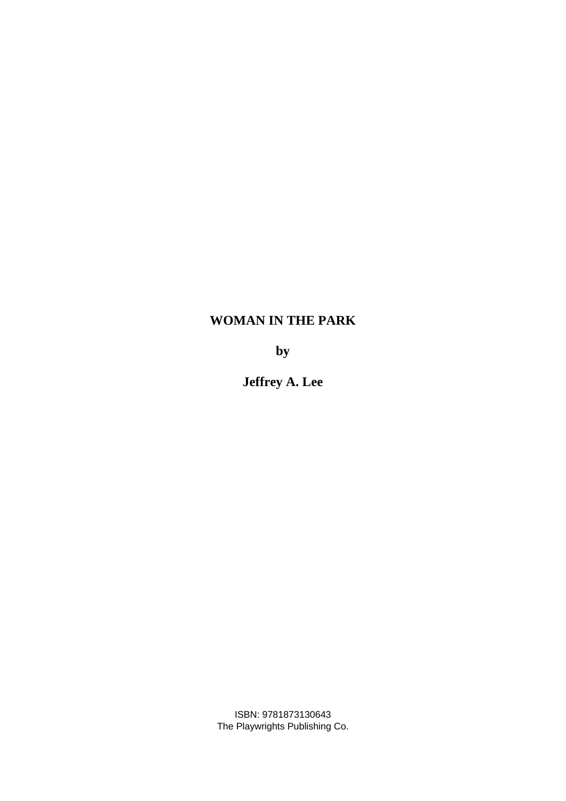## **WOMAN IN THE PARK**

**by** 

**Jeffrey A. Lee**

ISBN: 9781873130643 The Playwrights Publishing Co.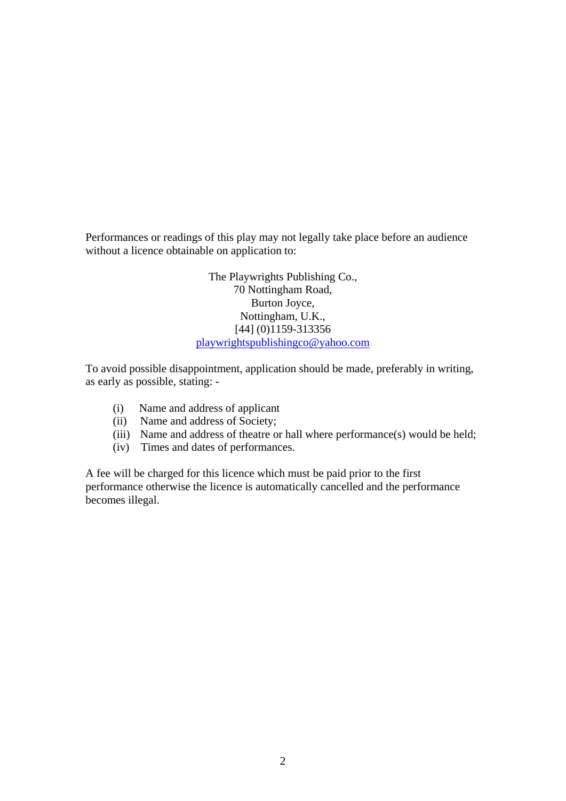Performances or readings of this play may not legally take place before an audience without a licence obtainable on application to:

> The Playwrights Publishing Co., 70 Nottingham Road, Burton Joyce, Nottingham, U.K., [44] (0)1159-313356 playwrightspublishingco@yahoo.com

To avoid possible disappointment, application should be made, preferably in writing, as early as possible, stating: -

- (i) Name and address of applicant
- (ii) Name and address of Society;
- (iii) Name and address of theatre or hall where performance(s) would be held;
- (iv) Times and dates of performances.

A fee will be charged for this licence which must be paid prior to the first performance otherwise the licence is automatically cancelled and the performance becomes illegal.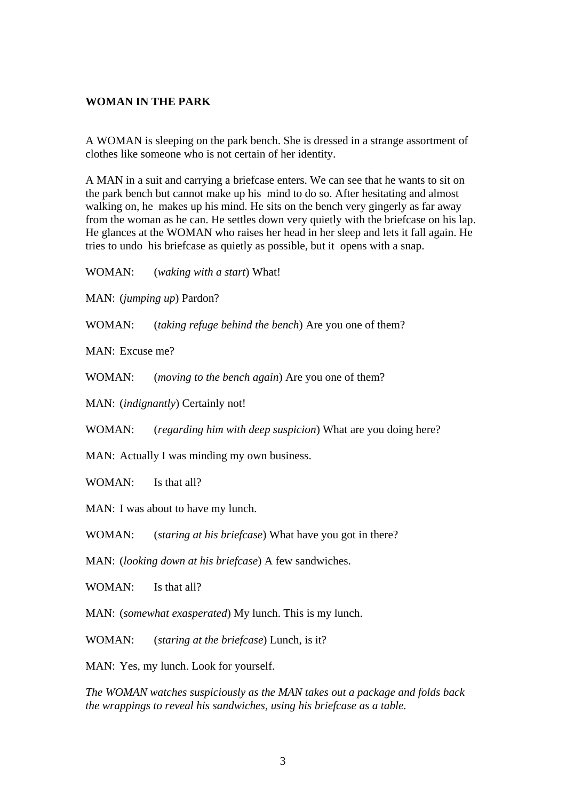## **WOMAN IN THE PARK**

A WOMAN is sleeping on the park bench. She is dressed in a strange assortment of clothes like someone who is not certain of her identity.

A MAN in a suit and carrying a briefcase enters. We can see that he wants to sit on the park bench but cannot make up his mind to do so. After hesitating and almost walking on, he makes up his mind. He sits on the bench very gingerly as far away from the woman as he can. He settles down very quietly with the briefcase on his lap. He glances at the WOMAN who raises her head in her sleep and lets it fall again. He tries to undo his briefcase as quietly as possible, but it opens with a snap.

WOMAN: (*waking with a start*) What!

MAN: (*jumping up*) Pardon?

WOMAN: (*taking refuge behind the bench*) Are you one of them?

 $MAN:$  Excuse me?

WOMAN: (*moving to the bench again*) Are you one of them?

MAN: (*indignantly*) Certainly not!

WOMAN: (*regarding him with deep suspicion*) What are you doing here?

MAN: Actually I was minding my own business.

WOMAN<sup>.</sup> Is that all?

MAN: I was about to have my lunch.

WOMAN: (*staring at his briefcase*) What have you got in there?

MAN: (*looking down at his briefcase*) A few sandwiches.

WOMAN: Is that all?

MAN: (*somewhat exasperated*) My lunch. This is my lunch.

WOMAN: (*staring at the briefcase*) Lunch, is it?

MAN: Yes, my lunch. Look for yourself.

*The WOMAN watches suspiciously as the MAN takes out a package and folds back the wrappings to reveal his sandwiches, using his briefcase as a table.*